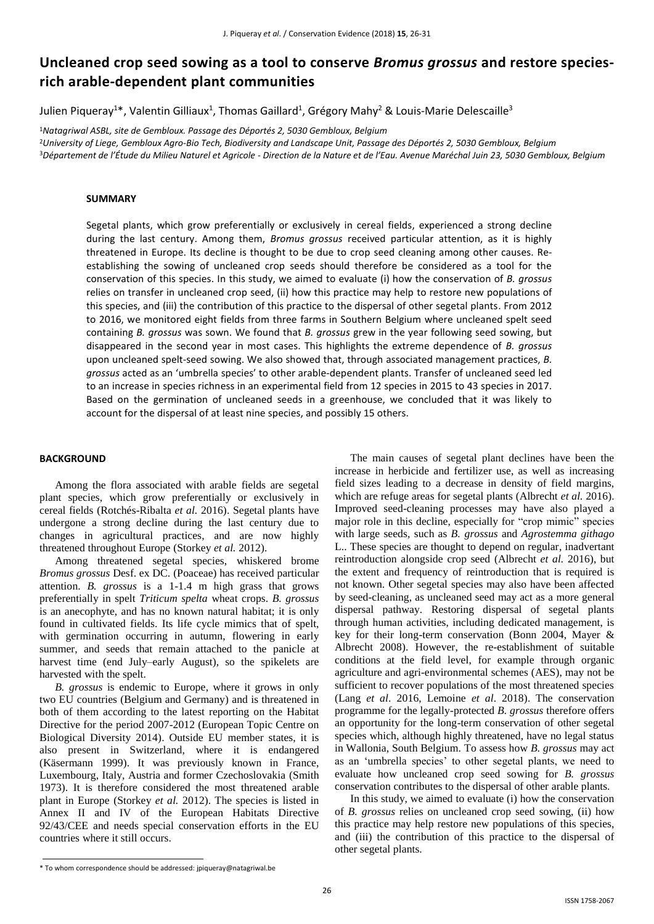# **Uncleaned crop seed sowing as a tool to conserve** *Bromus grossus* **and restore speciesrich arable-dependent plant communities**

Julien Piqueray<sup>1\*</sup>, Valentin Gilliaux<sup>1</sup>, Thomas Gaillard<sup>1</sup>, Grégory Mahy<sup>2</sup> & Louis-Marie Delescaille<sup>3</sup>

<sup>1</sup>*Natagriwal ASBL, site de Gembloux. Passage des Déportés 2, 5030 Gembloux, Belgium* <sup>2</sup>*University of Liege, Gembloux Agro-Bio Tech, Biodiversity and Landscape Unit, Passage des Déportés 2, 5030 Gembloux, Belgium* <sup>3</sup>*Département de l'Étude du Milieu Naturel et Agricole - Direction de la Nature et de l'Eau. Avenue Maréchal Juin 23, 5030 Gembloux, Belgium*

## **SUMMARY**

Segetal plants, which grow preferentially or exclusively in cereal fields, experienced a strong decline during the last century. Among them, *Bromus grossus* received particular attention, as it is highly threatened in Europe. Its decline is thought to be due to crop seed cleaning among other causes. Reestablishing the sowing of uncleaned crop seeds should therefore be considered as a tool for the conservation of this species. In this study, we aimed to evaluate (i) how the conservation of *B. grossus* relies on transfer in uncleaned crop seed, (ii) how this practice may help to restore new populations of this species, and (iii) the contribution of this practice to the dispersal of other segetal plants. From 2012 to 2016, we monitored eight fields from three farms in Southern Belgium where uncleaned spelt seed containing *B. grossus* was sown. We found that *B. grossus* grew in the year following seed sowing, but disappeared in the second year in most cases. This highlights the extreme dependence of *B. grossus* upon uncleaned spelt-seed sowing. We also showed that, through associated management practices, *B. grossus* acted as an 'umbrella species' to other arable-dependent plants. Transfer of uncleaned seed led to an increase in species richness in an experimental field from 12 species in 2015 to 43 species in 2017. Based on the germination of uncleaned seeds in a greenhouse, we concluded that it was likely to account for the dispersal of at least nine species, and possibly 15 others.

#### **BACKGROUND**

Among the flora associated with arable fields are segetal plant species, which grow preferentially or exclusively in cereal fields (Rotchés-Ribalta *et al.* 2016). Segetal plants have undergone a strong decline during the last century due to changes in agricultural practices, and are now highly threatened throughout Europe (Storkey *et al.* 2012).

Among threatened segetal species, whiskered brome *Bromus grossus* Desf. ex DC. (Poaceae) has received particular attention. *B. grossus* is a 1-1.4 m high grass that grows preferentially in spelt *Triticum spelta* wheat crops. *B. grossus* is an anecophyte, and has no known natural habitat; it is only found in cultivated fields. Its life cycle mimics that of spelt, with germination occurring in autumn, flowering in early summer, and seeds that remain attached to the panicle at harvest time (end July–early August), so the spikelets are harvested with the spelt.

*B. grossus* is endemic to Europe, where it grows in only two EU countries (Belgium and Germany) and is threatened in both of them according to the latest reporting on the Habitat Directive for the period 2007-2012 (European Topic Centre on Biological Diversity 2014). Outside EU member states, it is also present in Switzerland, where it is endangered (Käsermann 1999). It was previously known in France, Luxembourg, Italy, Austria and former Czechoslovakia (Smith 1973). It is therefore considered the most threatened arable plant in Europe (Storkey *et al.* 2012). The species is listed in Annex II and IV of the European Habitats Directive 92/43/CEE and needs special conservation efforts in the EU countries where it still occurs.

The main causes of segetal plant declines have been the increase in herbicide and fertilizer use, as well as increasing field sizes leading to a decrease in density of field margins, which are refuge areas for segetal plants (Albrecht *et al.* 2016). Improved seed-cleaning processes may have also played a major role in this decline, especially for "crop mimic" species with large seeds, such as *B. grossus* and *Agrostemma githago* L.. These species are thought to depend on regular, inadvertant reintroduction alongside crop seed (Albrecht *et al.* 2016), but the extent and frequency of reintroduction that is required is not known. Other segetal species may also have been affected by seed-cleaning, as uncleaned seed may act as a more general dispersal pathway. Restoring dispersal of segetal plants through human activities, including dedicated management, is key for their long-term conservation (Bonn 2004, Mayer & Albrecht 2008). However, the re-establishment of suitable conditions at the field level, for example through organic agriculture and agri-environmental schemes (AES), may not be sufficient to recover populations of the most threatened species (Lang *et al*. 2016, Lemoine *et al*. 2018). The conservation programme for the legally-protected *B. grossus* therefore offers an opportunity for the long-term conservation of other segetal species which, although highly threatened, have no legal status in Wallonia, South Belgium. To assess how *B. grossus* may act as an 'umbrella species' to other segetal plants, we need to evaluate how uncleaned crop seed sowing for *B. grossus* conservation contributes to the dispersal of other arable plants.

In this study, we aimed to evaluate (i) how the conservation of *B. grossus* relies on uncleaned crop seed sowing, (ii) how this practice may help restore new populations of this species, and (iii) the contribution of this practice to the dispersal of other segetal plants.

<sup>\*</sup> To whom correspondence should be addressed: jpiqueray@natagriwal.be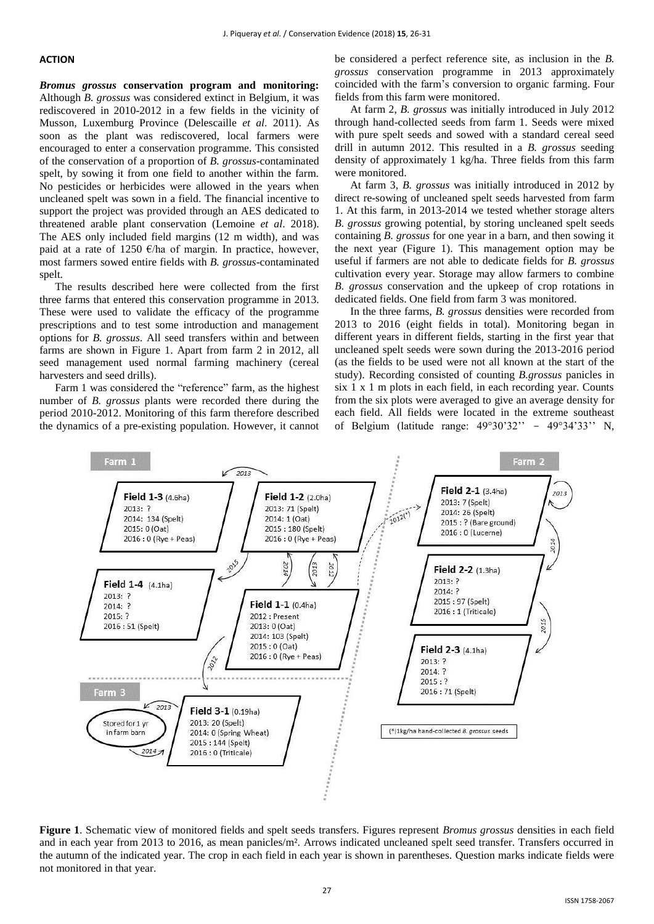#### **ACTION**

*Bromus grossus* **conservation program and monitoring:**  Although *B. grossus* was considered extinct in Belgium, it was rediscovered in 2010-2012 in a few fields in the vicinity of Musson, Luxemburg Province (Delescaille *et al*. 2011). As soon as the plant was rediscovered, local farmers were encouraged to enter a conservation programme. This consisted of the conservation of a proportion of *B. grossus*-contaminated spelt, by sowing it from one field to another within the farm. No pesticides or herbicides were allowed in the years when uncleaned spelt was sown in a field. The financial incentive to support the project was provided through an AES dedicated to threatened arable plant conservation (Lemoine *et al*. 2018). The AES only included field margins (12 m width), and was paid at a rate of 1250  $\epsilon$ /ha of margin. In practice, however, most farmers sowed entire fields with *B. grossus*-contaminated spelt.

The results described here were collected from the first three farms that entered this conservation programme in 2013. These were used to validate the efficacy of the programme prescriptions and to test some introduction and management options for *B. grossus*. All seed transfers within and between farms are shown in Figure 1. Apart from farm 2 in 2012, all seed management used normal farming machinery (cereal harvesters and seed drills).

Farm 1 was considered the "reference" farm, as the highest number of *B. grossus* plants were recorded there during the period 2010-2012. Monitoring of this farm therefore described the dynamics of a pre-existing population. However, it cannot be considered a perfect reference site, as inclusion in the *B. grossus* conservation programme in 2013 approximately coincided with the farm's conversion to organic farming. Four fields from this farm were monitored.

At farm 2, *B. grossus* was initially introduced in July 2012 through hand-collected seeds from farm 1. Seeds were mixed with pure spelt seeds and sowed with a standard cereal seed drill in autumn 2012. This resulted in a *B. grossus* seeding density of approximately 1 kg/ha. Three fields from this farm were monitored.

At farm 3, *B. grossus* was initially introduced in 2012 by direct re-sowing of uncleaned spelt seeds harvested from farm 1. At this farm, in 2013-2014 we tested whether storage alters *B. grossus* growing potential, by storing uncleaned spelt seeds containing *B. grossus* for one year in a barn, and then sowing it the next year (Figure 1). This management option may be useful if farmers are not able to dedicate fields for *B. grossus* cultivation every year. Storage may allow farmers to combine *B. grossus* conservation and the upkeep of crop rotations in dedicated fields. One field from farm 3 was monitored.

In the three farms, *B. grossus* densities were recorded from 2013 to 2016 (eight fields in total). Monitoring began in different years in different fields, starting in the first year that uncleaned spelt seeds were sown during the 2013-2016 period (as the fields to be used were not all known at the start of the study). Recording consisted of counting *B.grossus* panicles in six 1 x 1 m plots in each field, in each recording year. Counts from the six plots were averaged to give an average density for each field. All fields were located in the extreme southeast of Belgium (latitude range: 49°30'32'' - 49°34'33'' N,



**Figure 1**. Schematic view of monitored fields and spelt seeds transfers. Figures represent *Bromus grossus* densities in each field and in each year from 2013 to 2016, as mean panicles/m². Arrows indicated uncleaned spelt seed transfer. Transfers occurred in the autumn of the indicated year. The crop in each field in each year is shown in parentheses. Question marks indicate fields were not monitored in that year.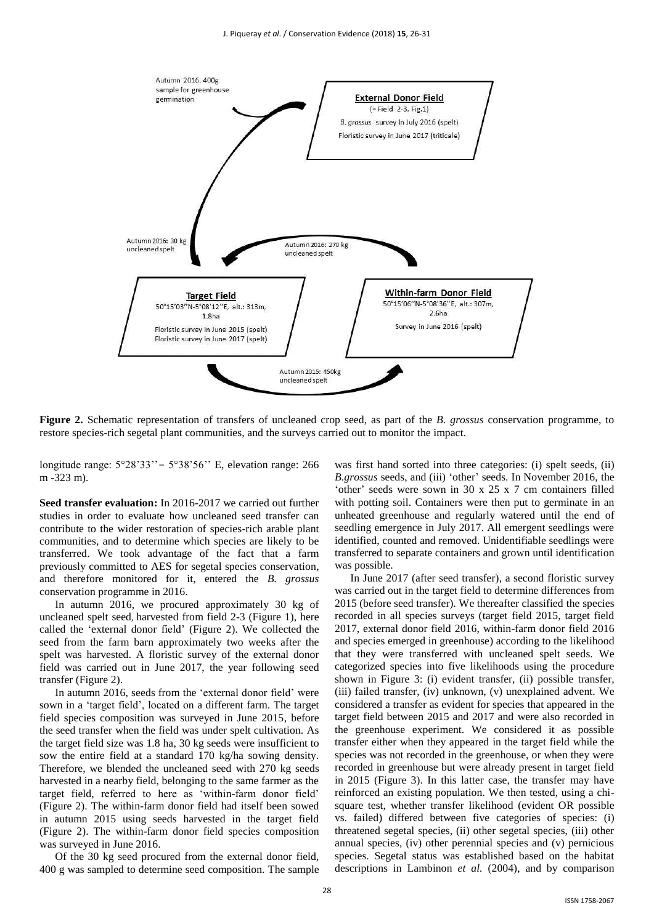

**Figure 2.** Schematic representation of transfers of uncleaned crop seed, as part of the *B. grossus* conservation programme, to restore species-rich segetal plant communities, and the surveys carried out to monitor the impact.

longitude range: 5°28'33''- 5°38'56'' E, elevation range: 266 m -323 m).

**Seed transfer evaluation:** In 2016-2017 we carried out further studies in order to evaluate how uncleaned seed transfer can contribute to the wider restoration of species-rich arable plant communities, and to determine which species are likely to be transferred. We took advantage of the fact that a farm previously committed to AES for segetal species conservation, and therefore monitored for it, entered the *B. grossus* conservation programme in 2016.

In autumn 2016, we procured approximately 30 kg of uncleaned spelt seed, harvested from field 2-3 (Figure 1), here called the 'external donor field' (Figure 2). We collected the seed from the farm barn approximately two weeks after the spelt was harvested. A floristic survey of the external donor field was carried out in June 2017, the year following seed transfer (Figure 2).

In autumn 2016, seeds from the 'external donor field' were sown in a 'target field', located on a different farm. The target field species composition was surveyed in June 2015, before the seed transfer when the field was under spelt cultivation. As the target field size was 1.8 ha, 30 kg seeds were insufficient to sow the entire field at a standard 170 kg/ha sowing density. Therefore, we blended the uncleaned seed with 270 kg seeds harvested in a nearby field, belonging to the same farmer as the target field, referred to here as 'within-farm donor field' (Figure 2). The within-farm donor field had itself been sowed in autumn 2015 using seeds harvested in the target field (Figure 2). The within-farm donor field species composition was surveyed in June 2016.

Of the 30 kg seed procured from the external donor field, 400 g was sampled to determine seed composition. The sample was first hand sorted into three categories: (i) spelt seeds, (ii) *B.grossus* seeds, and (iii) 'other' seeds. In November 2016, the 'other' seeds were sown in 30 x 25 x 7 cm containers filled with potting soil. Containers were then put to germinate in an unheated greenhouse and regularly watered until the end of seedling emergence in July 2017. All emergent seedlings were identified, counted and removed. Unidentifiable seedlings were transferred to separate containers and grown until identification was possible.

In June 2017 (after seed transfer), a second floristic survey was carried out in the target field to determine differences from 2015 (before seed transfer). We thereafter classified the species recorded in all species surveys (target field 2015, target field 2017, external donor field 2016, within-farm donor field 2016 and species emerged in greenhouse) according to the likelihood that they were transferred with uncleaned spelt seeds. We categorized species into five likelihoods using the procedure shown in Figure 3: (i) evident transfer, (ii) possible transfer, (iii) failed transfer, (iv) unknown, (v) unexplained advent. We considered a transfer as evident for species that appeared in the target field between 2015 and 2017 and were also recorded in the greenhouse experiment. We considered it as possible transfer either when they appeared in the target field while the species was not recorded in the greenhouse, or when they were recorded in greenhouse but were already present in target field in 2015 (Figure 3). In this latter case, the transfer may have reinforced an existing population. We then tested, using a chisquare test, whether transfer likelihood (evident OR possible vs. failed) differed between five categories of species: (i) threatened segetal species, (ii) other segetal species, (iii) other annual species, (iv) other perennial species and (v) pernicious species. Segetal status was established based on the habitat descriptions in Lambinon *et al.* (2004), and by comparison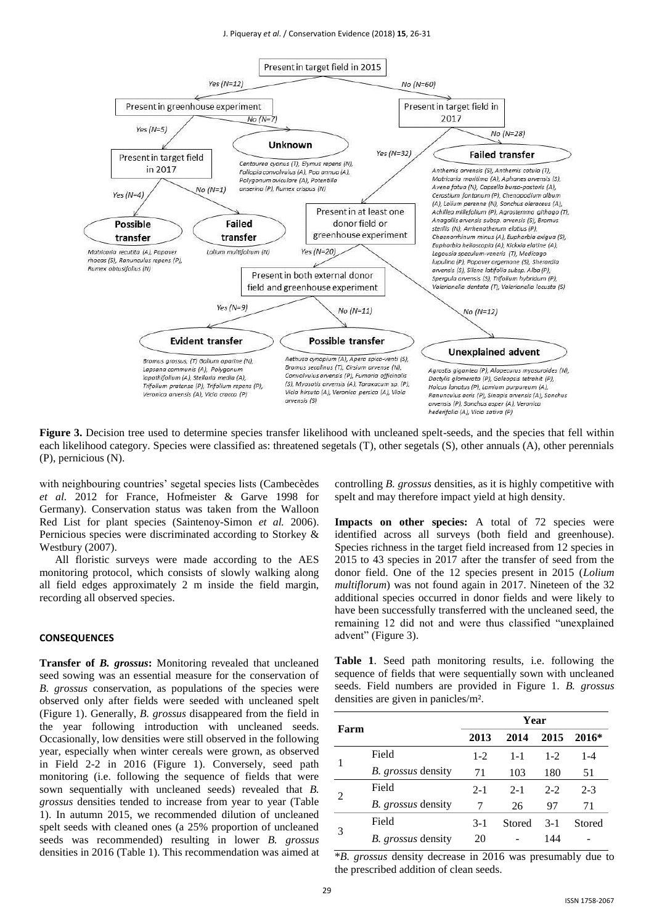

**Figure 3.** Decision tree used to determine species transfer likelihood with uncleaned spelt-seeds, and the species that fell within each likelihood category. Species were classified as: threatened segetals (T), other segetals (S), other annuals (A), other perennials (P), pernicious (N).

with neighbouring countries' segetal species lists (Cambecèdes *et al.* 2012 for France, Hofmeister & Garve 1998 for Germany). Conservation status was taken from the Walloon Red List for plant species (Saintenoy-Simon *et al.* 2006). Pernicious species were discriminated according to Storkey & Westbury (2007).

All floristic surveys were made according to the AES monitoring protocol, which consists of slowly walking along all field edges approximately 2 m inside the field margin, recording all observed species.

#### **CONSEQUENCES**

**Transfer of** *B. grossus***:** Monitoring revealed that uncleaned seed sowing was an essential measure for the conservation of *B. grossus* conservation, as populations of the species were observed only after fields were seeded with uncleaned spelt (Figure 1). Generally, *B. grossus* disappeared from the field in the year following introduction with uncleaned seeds. Occasionally, low densities were still observed in the following year, especially when winter cereals were grown, as observed in Field 2-2 in 2016 (Figure 1). Conversely, seed path monitoring (i.e. following the sequence of fields that were sown sequentially with uncleaned seeds) revealed that *B. grossus* densities tended to increase from year to year (Table 1). In autumn 2015, we recommended dilution of uncleaned spelt seeds with cleaned ones (a 25% proportion of uncleaned seeds was recommended) resulting in lower *B. grossus* densities in 2016 (Table 1). This recommendation was aimed at controlling *B. grossus* densities, as it is highly competitive with spelt and may therefore impact yield at high density.

**Impacts on other species:** A total of 72 species were identified across all surveys (both field and greenhouse). Species richness in the target field increased from 12 species in 2015 to 43 species in 2017 after the transfer of seed from the donor field. One of the 12 species present in 2015 (*Lolium multiflorum*) was not found again in 2017. Nineteen of the 32 additional species occurred in donor fields and were likely to have been successfully transferred with the uncleaned seed, the remaining 12 did not and were thus classified "unexplained advent" (Figure 3).

**Table 1**. Seed path monitoring results, i.e. following the sequence of fields that were sequentially sown with uncleaned seeds. Field numbers are provided in Figure 1. *B. grossus* densities are given in panicles/m².

| Farm |                           | Year    |         |         |         |  |
|------|---------------------------|---------|---------|---------|---------|--|
|      |                           | 2013    | 2014    | 2015    | $2016*$ |  |
|      | Field                     | $1 - 2$ | $1 - 1$ | $1 - 2$ | $1 - 4$ |  |
|      | <i>B. grossus</i> density | 71      | 103     | 180     | 51      |  |
| 2    | Field                     | $2 - 1$ | $2 - 1$ | $2 - 2$ | $2-3$   |  |
|      | <i>B. grossus</i> density |         | 26      | 97      | 71      |  |
| 3    | Field                     | $3-1$   | Stored  | $3-1$   | Stored  |  |
|      | B. grossus density        | 20      |         | 144     |         |  |

\**B. grossus* density decrease in 2016 was presumably due to the prescribed addition of clean seeds.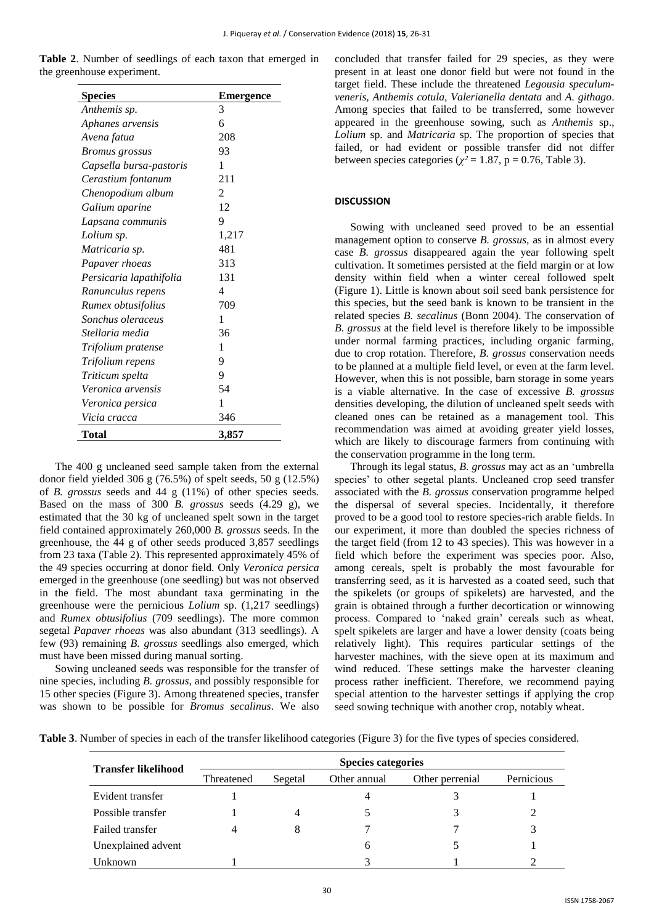| Table 2. Number of seedlings of each taxon that emerged in |  |  |  |  |
|------------------------------------------------------------|--|--|--|--|
| the greenhouse experiment.                                 |  |  |  |  |

| <b>Species</b>          | <b>Emergence</b> |  |  |
|-------------------------|------------------|--|--|
| Anthemis sp.            | 3                |  |  |
| Aphanes arvensis        | 6                |  |  |
| Avena fatua             | 208              |  |  |
| <b>Bromus</b> grossus   | 93               |  |  |
| Capsella bursa-pastoris | 1                |  |  |
| Cerastium fontanum      | 211              |  |  |
| Chenopodium album       | 2                |  |  |
| Galium aparine          | 12               |  |  |
| Lapsana communis        | 9                |  |  |
| Lolium sp.              | 1,217            |  |  |
| Matricaria sp.          | 481              |  |  |
| Papaver rhoeas          | 313              |  |  |
| Persicaria lapathifolia | 131              |  |  |
| Ranunculus repens       | 4                |  |  |
| Rumex obtusifolius      | 709              |  |  |
| Sonchus oleraceus       | 1                |  |  |
| Stellaria media         | 36               |  |  |
| Trifolium pratense      | 1                |  |  |
| Trifolium repens        | 9                |  |  |
| Triticum spelta         | 9                |  |  |
| Veronica arvensis       | 54               |  |  |
| Veronica persica        | 1                |  |  |
| Vicia cracca            | 346              |  |  |
| Total                   | 3.857            |  |  |

The 400 g uncleaned seed sample taken from the external donor field yielded 306 g (76.5%) of spelt seeds, 50 g (12.5%) of *B. grossus* seeds and 44 g (11%) of other species seeds. Based on the mass of 300 *B. grossus* seeds (4.29 g), we estimated that the 30 kg of uncleaned spelt sown in the target field contained approximately 260,000 *B. grossus* seeds. In the greenhouse, the 44 g of other seeds produced 3,857 seedlings from 23 taxa (Table 2). This represented approximately 45% of the 49 species occurring at donor field. Only *Veronica persica* emerged in the greenhouse (one seedling) but was not observed in the field. The most abundant taxa germinating in the greenhouse were the pernicious *Lolium* sp. (1,217 seedlings) and *Rumex obtusifolius* (709 seedlings). The more common segetal *Papaver rhoeas* was also abundant (313 seedlings). A few (93) remaining *B. grossus* seedlings also emerged, which must have been missed during manual sorting.

Sowing uncleaned seeds was responsible for the transfer of nine species, including *B. grossus*, and possibly responsible for 15 other species (Figure 3). Among threatened species, transfer was shown to be possible for *Bromus secalinus*. We also concluded that transfer failed for 29 species, as they were present in at least one donor field but were not found in the target field. These include the threatened *Legousia speculumveneris, Anthemis cotula, Valerianella dentata* and *A. githago*. Among species that failed to be transferred, some however appeared in the greenhouse sowing, such as *Anthemis* sp., *Lolium* sp. and *Matricaria* sp. The proportion of species that failed, or had evident or possible transfer did not differ between species categories ( $\chi^2$  = 1.87, p = 0.76, Table 3).

# **DISCUSSION**

Sowing with uncleaned seed proved to be an essential management option to conserve *B. grossus,* as in almost every case *B. grossus* disappeared again the year following spelt cultivation. It sometimes persisted at the field margin or at low density within field when a winter cereal followed spelt (Figure 1). Little is known about soil seed bank persistence for this species, but the seed bank is known to be transient in the related species *B. secalinus* (Bonn 2004). The conservation of *B. grossus* at the field level is therefore likely to be impossible under normal farming practices, including organic farming, due to crop rotation. Therefore, *B. grossus* conservation needs to be planned at a multiple field level, or even at the farm level. However, when this is not possible, barn storage in some years is a viable alternative. In the case of excessive *B. grossus* densities developing, the dilution of uncleaned spelt seeds with cleaned ones can be retained as a management tool. This recommendation was aimed at avoiding greater yield losses, which are likely to discourage farmers from continuing with the conservation programme in the long term.

Through its legal status, *B. grossus* may act as an 'umbrella species' to other segetal plants. Uncleaned crop seed transfer associated with the *B. grossus* conservation programme helped the dispersal of several species. Incidentally, it therefore proved to be a good tool to restore species-rich arable fields. In our experiment, it more than doubled the species richness of the target field (from 12 to 43 species). This was however in a field which before the experiment was species poor. Also, among cereals, spelt is probably the most favourable for transferring seed, as it is harvested as a coated seed, such that the spikelets (or groups of spikelets) are harvested, and the grain is obtained through a further decortication or winnowing process. Compared to 'naked grain' cereals such as wheat, spelt spikelets are larger and have a lower density (coats being relatively light). This requires particular settings of the harvester machines, with the sieve open at its maximum and wind reduced. These settings make the harvester cleaning process rather inefficient. Therefore, we recommend paying special attention to the harvester settings if applying the crop seed sowing technique with another crop, notably wheat.

**Table 3**. Number of species in each of the transfer likelihood categories (Figure 3) for the five types of species considered.

| <b>Transfer likelihood</b> | <b>Species categories</b> |                         |   |                 |            |  |  |
|----------------------------|---------------------------|-------------------------|---|-----------------|------------|--|--|
|                            | Threatened                | Segetal<br>Other annual |   | Other perrenial | Pernicious |  |  |
| Evident transfer           |                           |                         |   |                 |            |  |  |
| Possible transfer          |                           | 4                       |   |                 |            |  |  |
| Failed transfer            | 4                         | 8                       |   |                 | 3          |  |  |
| Unexplained advent         |                           |                         | h |                 |            |  |  |
| Unknown                    |                           |                         |   |                 |            |  |  |